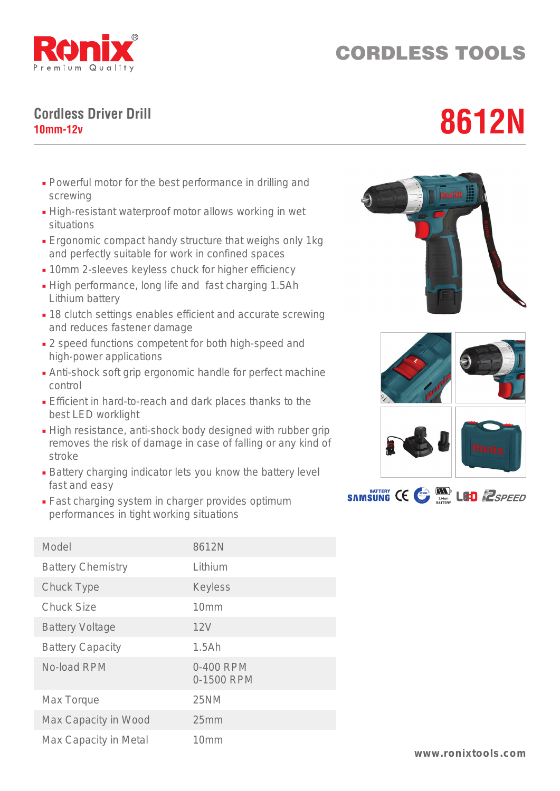

## CORDLESS TOOLS

## **Cordless Driver Drill** Cordless Driver Drill<br>10mm-12v

- Powerful motor for the best performance in drilling and screwing
- High-resistant waterproof motor allows working in wet situations
- Ergonomic compact handy structure that weighs only 1kg and perfectly suitable for work in confined spaces
- 10mm 2-sleeves keyless chuck for higher efficiency
- High performance, long life and fast charging 1.5Ah Lithium battery
- 18 clutch settings enables efficient and accurate screwing and reduces fastener damage
- 2 speed functions competent for both high-speed and high-power applications
- Anti-shock soft grip ergonomic handle for perfect machine control
- Efficient in hard-to-reach and dark places thanks to the best LED worklight
- High resistance, anti-shock body designed with rubber grip removes the risk of damage in case of falling or any kind of stroke
- Battery charging indicator lets you know the battery level fast and easy
- Fast charging system in charger provides optimum performances in tight working situations

| Model                    | 8612N                   |
|--------------------------|-------------------------|
| <b>Battery Chemistry</b> | Lithium                 |
| Chuck Type               | <b>Keyless</b>          |
| <b>Chuck Size</b>        | 10 <sub>mm</sub>        |
| <b>Battery Voltage</b>   | 12V                     |
| <b>Battery Capacity</b>  | 1.5Ah                   |
| No-load RPM              | 0-400 RPM<br>0-1500 RPM |
| Max Torque               | 25NM                    |
| Max Capacity in Wood     | 25mm                    |
| Max Capacity in Metal    | 10 <sub>mm</sub>        |